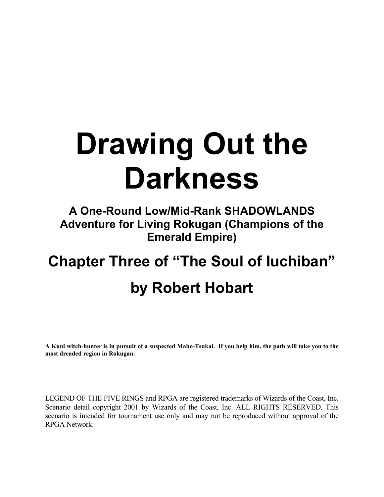# **Drawing Out the Darkness**

## **A One-Round Low/Mid-Rank SHADOWLANDS Adventure for Living Rokugan (Champions of the Emerald Empire)**

## **Chapter Three of "The Soul of Iuchiban" by Robert Hobart**

**A Kuni witch-hunter is in pursuit of a suspected Maho-Tsukai. If you help him, the path will take you to the most dreaded region in Rokugan.** 

LEGEND OF THE FIVE RINGS and RPGA are registered trademarks of Wizards of the Coast, Inc. Scenario detail copyright 2001 by Wizards of the Coast, Inc. ALL RIGHTS RESERVED. This scenario is intended for tournament use only and may not be reproduced without approval of the RPGA Network.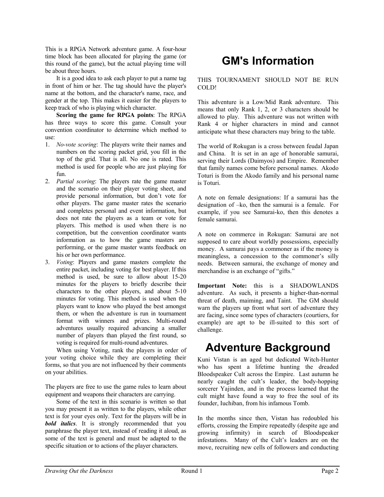This is a RPGA Network adventure game. A four-hour time block has been allocated for playing the game (or this round of the game), but the actual playing time will be about three hours.

It is a good idea to ask each player to put a name tag in front of him or her. The tag should have the player's name at the bottom, and the character's name, race, and gender at the top. This makes it easier for the players to keep track of who is playing which character.

**Scoring the game for RPGA points**: The RPGA has three ways to score this game. Consult your convention coordinator to determine which method to use:

- 1. *No-vote scoring*: The players write their names and numbers on the scoring packet grid, you fill in the top of the grid. That is all. No one is rated. This method is used for people who are just playing for fun.
- 2. *Partial scoring*: The players rate the game master and the scenario on their player voting sheet, and provide personal information, but don't vote for other players. The game master rates the scenario and completes personal and event information, but does not rate the players as a team or vote for players. This method is used when there is no competition, but the convention coordinator wants information as to how the game masters are performing, or the game master wants feedback on his or her own performance.
- 3. *Voting*: Players and game masters complete the entire packet, including voting for best player. If this method is used, be sure to allow about 15-20 minutes for the players to briefly describe their characters to the other players, and about 5-10 minutes for voting. This method is used when the players want to know who played the best amongst them, or when the adventure is run in tournament format with winners and prizes. Multi-round adventures usually required advancing a smaller number of players than played the first round, so voting is required for multi-round adventures.

When using Voting, rank the players in order of your voting choice while they are completing their forms, so that you are not influenced by their comments on your abilities.

The players are free to use the game rules to learn about equipment and weapons their characters are carrying.

Some of the text in this scenario is written so that you may present it as written to the players, while other text is for your eyes only. Text for the players will be in *bold italics*. It is strongly recommended that you paraphrase the player text, instead of reading it aloud, as some of the text is general and must be adapted to the specific situation or to actions of the player characters.

## **GM's Information**

THIS TOURNAMENT SHOULD NOT BE RUN COLD!

This adventure is a Low/Mid Rank adventure. This means that only Rank 1, 2, or 3 characters should be allowed to play. This adventure was not written with Rank 4 or higher characters in mind and cannot anticipate what these characters may bring to the table.

The world of Rokugan is a cross between feudal Japan and China. It is set in an age of honorable samurai, serving their Lords (Daimyos) and Empire. Remember that family names come before personal names. Akodo Toturi is from the Akodo family and his personal name is Toturi.

A note on female designations: If a samurai has the designation of –ko, then the samurai is a female. For example, if you see Samurai-ko, then this denotes a female samurai.

A note on commerce in Rokugan: Samurai are not supposed to care about worldly possessions, especially money. A samurai pays a commoner as if the money is meaningless, a concession to the commoner's silly needs. Between samurai, the exchange of money and merchandise is an exchange of "gifts."

**Important Note:** this is a SHADOWLANDS adventure. As such, it presents a higher-than-normal threat of death, maiming, and Taint. The GM should warn the players up front what sort of adventure they are facing, since some types of characters (courtiers, for example) are apt to be ill-suited to this sort of challenge.

## **Adventure Background**

Kuni Vistan is an aged but dedicated Witch-Hunter who has spent a lifetime hunting the dreaded Bloodspeaker Cult across the Empire. Last autumn he nearly caught the cult's leader, the body-hopping sorcerer Yajinden, and in the process learned that the cult might have found a way to free the soul of its founder, Iuchiban, from his infamous Tomb.

In the months since then, Vistan has redoubled his efforts, crossing the Empire repeatedly (despite age and growing infirmity) in search of Bloodspeaker infestations. Many of the Cult's leaders are on the move, recruiting new cells of followers and conducting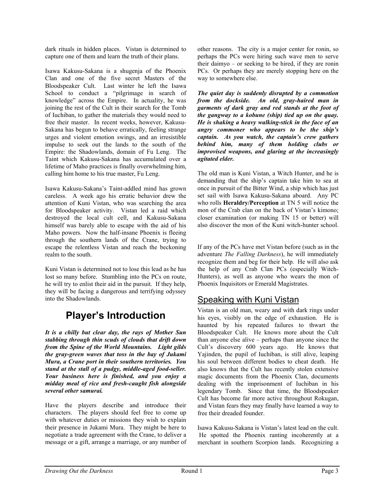dark rituals in hidden places. Vistan is determined to capture one of them and learn the truth of their plans.

Isawa Kakusu-Sakana is a shugenja of the Phoenix Clan and one of the five secret Masters of the Bloodspeaker Cult. Last winter he left the Isawa School to conduct a "pilgrimage in search of knowledge" across the Empire. In actuality, he was joining the rest of the Cult in their search for the Tomb of Iuchiban, to gather the materials they would need to free their master. In recent weeks, however, Kakusu-Sakana has begun to behave erratically, feeling strange urges and violent emotion swings, and an irresistible impulse to seek out the lands to the south of the Empire: the Shadowlands, domain of Fu Leng. The Taint which Kakusu-Sakana has accumulated over a lifetime of Maho practices is finally overwhelming him, calling him home to his true master, Fu Leng.

Isawa Kakusu-Sakana's Taint-addled mind has grown careless. A week ago his erratic behavior drew the attention of Kuni Vistan, who was searching the area for Bloodspeaker activity. Vistan led a raid which destroyed the local cult cell, and Kakusu-Sakana himself was barely able to escape with the aid of his Maho powers. Now the half-insane Phoenix is fleeing through the southern lands of the Crane, trying to escape the relentless Vistan and reach the beckoning realm to the south.

Kuni Vistan is determined not to lose this lead as he has lost so many before. Stumbling into the PCs on route, he will try to enlist their aid in the pursuit. If they help, they will be facing a dangerous and terrifying odyssey into the Shadowlands.

### **Player's Introduction**

*It is a chilly but clear day, the rays of Mother Sun stabbing through thin scuds of clouds that drift down from the Spine of the World Mountains. Light gilds the gray-green waves that toss in the bay of Jukami Mura, a Crane port in their southern territories. You stand at the stall of a pudgy, middle-aged food-seller. Your business here is finished, and you enjoy a midday meal of rice and fresh-caught fish alongside several other samurai.* 

Have the players describe and introduce their characters. The players should feel free to come up with whatever duties or missions they wish to explain their presence in Jukami Mura. They might be here to negotiate a trade agreement with the Crane, to deliver a message or a gift, arrange a marriage, or any number of other reasons. The city is a major center for ronin, so perhaps the PCs were hiring such wave men to serve their daimyo – or seeking to be hired, if they are ronin PCs. Or perhaps they are merely stopping here on the way to somewhere else.

*The quiet day is suddenly disrupted by a commotion from the dockside. An old, gray-haired man in garments of dark gray and red stands at the foot of the gangway to a kobune (ship) tied up on the quay. He is shaking a heavy walking-stick in the face of an angry commoner who appears to be the ship's captain. As you watch, the captain's crew gathers behind him, many of them holding clubs or improvised weapons, and glaring at the increasingly agitated elder.* 

The old man is Kuni Vistan, a Witch Hunter, and he is demanding that the ship's captain take him to sea at once in pursuit of the Bitter Wind, a ship which has just set sail with Isawa Kakusu-Sakana aboard. Any PC who rolls **Heraldry/Perception** at TN 5 will notice the mon of the Crab clan on the back of Vistan's kimono; closer examination (or making TN 15 or better) will also discover the mon of the Kuni witch-hunter school.

If any of the PCs have met Vistan before (such as in the adventure *The Falling Darkness*), he will immediately recognize them and beg for their help. He will also ask the help of any Crab Clan PCs (especially Witch-Hunters), as well as anyone who wears the mon of Phoenix Inquisitors or Emerald Magistrates.

#### Speaking with Kuni Vistan

Vistan is an old man, weary and with dark rings under his eyes, visibly on the edge of exhaustion. He is haunted by his repeated failures to thwart the Bloodspeaker Cult. He knows more about the Cult than anyone else alive – perhaps than anyone since the Cult's discovery 600 years ago. He knows that Yajinden, the pupil of Iuchiban, is still alive, leaping his soul between different bodies to cheat death. He also knows that the Cult has recently stolen extensive magic documents from the Phoenix Clan, documents dealing with the imprisonment of Iuchiban in his legendary Tomb. Since that time, the Bloodspeaker Cult has become far more active throughout Rokugan, and Vistan fears they may finally have learned a way to free their dreaded founder.

Isawa Kakusu-Sakana is Vistan's latest lead on the cult. He spotted the Phoenix ranting incoherently at a merchant in southern Scorpion lands. Recognizing a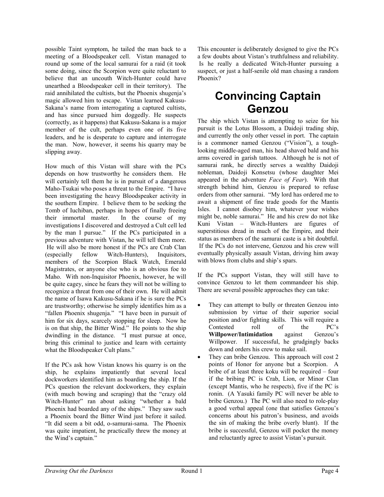possible Taint symptom, he tailed the man back to a meeting of a Bloodspeaker cell. Vistan managed to round up some of the local samurai for a raid (it took some doing, since the Scorpion were quite reluctant to believe that an uncouth Witch-Hunter could have unearthed a Bloodspeaker cell in their territory). The raid annihilated the cultists, but the Phoenix shugenja's magic allowed him to escape. Vistan learned Kakusu-Sakana's name from interrogating a captured cultists, and has since pursued him doggedly. He suspects (correctly, as it happens) that Kakusu-Sakana is a major member of the cult, perhaps even one of its five leaders, and he is desperate to capture and interrogate the man. Now, however, it seems his quarry may be slipping away.

How much of this Vistan will share with the PCs depends on how trustworthy he considers them. He will certainly tell them he is in pursuit of a dangerous Maho-Tsukai who poses a threat to the Empire. "I have been investigating the heavy Bloodspeaker activity in the southern Empire. I believe them to be seeking the Tomb of Iuchiban, perhaps in hopes of finally freeing their immortal master. In the course of my investigations I discovered and destroyed a Cult cell led by the man I pursue." If the PCs participated in a previous adventure with Vistan, he will tell them more. He will also be more honest if the PCs are Crab Clan (especially fellow Witch-Hunters), Inquisitors, members of the Scorpion Black Watch, Emerald Magistrates, or anyone else who is an obvious foe to Maho. With non-Inquisitor Phoenix, however, he will be quite cagey, since he fears they will not be willing to recognize a threat from one of their own. He will admit the name of Isawa Kakusu-Sakana if he is sure the PCs are trustworthy; otherwise he simply identifies him as a "fallen Phoenix shugenja." "I have been in pursuit of him for six days, scarcely stopping for sleep. Now he is on that ship, the Bitter Wind." He points to the ship dwindling in the distance. "I must pursue at once, bring this criminal to justice and learn with certainty what the Bloodspeaker Cult plans."

If the PCs ask how Vistan knows his quarry is on the ship, he explains impatiently that several local dockworkers identified him as boarding the ship. If the PCs question the relevant dockworkers, they explain (with much bowing and scraping) that the "crazy old Witch-Hunter" ran about asking "whether a bald Phoenix had boarded any of the ships." They saw such a Phoenix board the Bitter Wind just before it sailed. "It did seem a bit odd, o-samurai-sama. The Phoenix was quite impatient, he practically threw the money at the Wind's captain."

This encounter is deliberately designed to give the PCs a few doubts about Vistan's truthfulness and reliability. Is he really a dedicated Witch-Hunter pursuing a suspect, or just a half-senile old man chasing a random Phoenix?

## **Convincing Captain Genzou**

The ship which Vistan is attempting to seize for his pursuit is the Lotus Blossom, a Daidoji trading ship, and currently the only other vessel in port. The captain is a commoner named Genzou ("Vision"), a toughlooking middle-aged man, his head shaved bald and his arms covered in garish tattoos. Although he is not of samurai rank, he directly serves a wealthy Daidoji nobleman, Daidoji Konsetsu (whose daughter Mei appeared in the adventure *Face of Fear*). With that strength behind him, Genzou is prepared to refuse orders from other samurai. "My lord has ordered me to await a shipment of fine trade goods for the Mantis Isles. I cannot disobey him, whatever your wishes might be, noble samurai." He and his crew do not like Kuni Vistan – Witch-Hunters are figures of superstitious dread in much of the Empire, and their status as members of the samurai caste is a bit doubtful. If the PCs do not intervene, Genzou and his crew will eventually physically assault Vistan, driving him away with blows from clubs and ship's spars.

If the PCs support Vistan, they will still have to convince Genzou to let them commandeer his ship. There are several possible approaches they can take:

- They can attempt to bully or threaten Genzou into submission by virtue of their superior social position and/or fighting skills. This will require a Contested roll of the PC's **Willpower/Intimidation** against Genzou's Willpower. If successful, he grudgingly backs down and orders his crew to make sail.
- They can bribe Genzou. This approach will cost 2 points of Honor for anyone but a Scorpion. A bribe of at least three koku will be required – four if the bribing PC is Crab, Lion, or Minor Clan (except Mantis, who he respects), five if the PC is ronin. (A Yasuki family PC will never be able to bribe Genzou.) The PC will also need to role-play a good verbal appeal (one that satisfies Genzou's concerns about his patron's business, and avoids the sin of making the bribe overly blunt). If the bribe is successful, Genzou will pocket the money and reluctantly agree to assist Vistan's pursuit.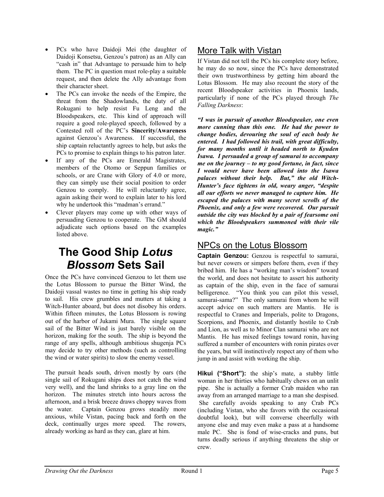- PCs who have Daidoji Mei (the daughter of Daidoji Konsetsu, Genzou's patron) as an Ally can "cash in" that Advantage to persuade him to help them. The PC in question must role-play a suitable request, and then delete the Ally advantage from their character sheet.
- The PCs can invoke the needs of the Empire, the threat from the Shadowlands, the duty of all Rokugani to help resist Fu Leng and the Bloodspeakers, etc. This kind of approach will require a good role-played speech, followed by a Contested roll of the PC's **Sincerity/Awareness** against Genzou's Awareness. If successful, the ship captain reluctantly agrees to help, but asks the PCs to promise to explain things to his patron later.
- If any of the PCs are Emerald Magistrates, members of the Otomo or Seppun families or schools, or are Crane with Glory of 4.0 or more, they can simply use their social position to order Genzou to comply. He will reluctantly agree, again asking their word to explain later to his lord why he undertook this "madman's errand."
- Clever players may come up with other ways of persuading Genzou to cooperate. The GM should adjudicate such options based on the examples listed above.

## **The Good Ship** *Lotus Blossom* **Sets Sail**

Once the PCs have convinced Genzou to let them use the Lotus Blossom to pursue the Bitter Wind, the Daidoji vassal wastes no time in getting his ship ready to sail. His crew grumbles and mutters at taking a Witch-Hunter aboard, but does not disobey his orders. Within fifteen minutes, the Lotus Blossom is rowing out of the harbor of Jukami Mura. The single square sail of the Bitter Wind is just barely visible on the horizon, making for the south. The ship is beyond the range of any spells, although ambitious shugenja PCs may decide to try other methods (such as controlling the wind or water spirits) to slow the enemy vessel.

The pursuit heads south, driven mostly by oars (the single sail of Rokugani ships does not catch the wind very well), and the land shrinks to a gray line on the horizon. The minutes stretch into hours across the afternoon, and a brisk breeze draws choppy waves from the water. Captain Genzou grows steadily more anxious, while Vistan, pacing back and forth on the deck, continually urges more speed. The rowers, already working as hard as they can, glare at him.

#### More Talk with Vistan

If Vistan did not tell the PCs his complete story before, he may do so now, since the PCs have demonstrated their own trustworthiness by getting him aboard the Lotus Blossom. He may also recount the story of the recent Bloodspeaker activities in Phoenix lands, particularly if none of the PCs played through *The Falling Darkness*:

*"I was in pursuit of another Bloodspeaker, one even more cunning than this one. He had the power to change bodies, devouring the soul of each body he entered. I had followed his trail, with great difficulty, for many months until it headed north to Kyuden Isawa. I persuaded a group of samurai to accompany me on the journey – to my good fortune, in fact, since I would never have been allowed into the Isawa palaces without their help. But," the old Witch-Hunter's face tightens in old, weary anger, "despite all our efforts we never managed to capture him. He escaped the palaces with many secret scrolls of the Phoenix, and only a few were recovered. Our pursuit outside the city was blocked by a pair of fearsome oni which the Bloodspeakers summoned with their vile magic."* 

#### NPCs on the Lotus Blossom

**Captain Genzou:** Genzou is respectful to samurai, but never cowers or simpers before them, even if they bribed him. He has a "working man's wisdom" toward the world, and does not hesitate to assert his authority as captain of the ship, even in the face of samurai belligerence. "You think you can pilot this vessel, samurai-sama?" The only samurai from whom he will accept advice on such matters are Mantis. He is respectful to Cranes and Imperials, polite to Dragons, Scorpions, and Phoenix, and distantly hostile to Crab and Lion, as well as to Minor Clan samurai who are not Mantis. He has mixed feelings toward ronin, having suffered a number of encounters with ronin pirates over the years, but will instinctively respect any of them who jump in and assist with working the ship.

**Hikui ("Short"):** the ship's mate, a stubby little woman in her thirties who habitually chews on an unlit pipe. She is actually a former Crab maiden who ran away from an arranged marriage to a man she despised. She carefully avoids speaking to any Crab PCs (including Vistan, who she favors with the occasional doubtful look), but will converse cheerfully with anyone else and may even make a pass at a handsome male PC. She is fond of wise-cracks and puns, but turns deadly serious if anything threatens the ship or crew.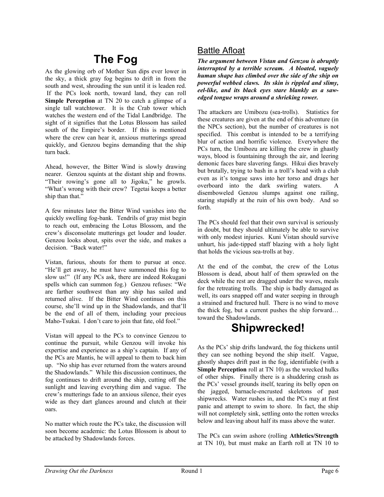## **The Fog**

As the glowing orb of Mother Sun dips ever lower in the sky, a thick gray fog begins to drift in from the south and west, shrouding the sun until it is leaden red. If the PCs look north, toward land, they can roll **Simple Perception** at TN 20 to catch a glimpse of a single tall watchtower. It is the Crab tower which watches the western end of the Tidal Landbridge. The sight of it signifies that the Lotus Blossom has sailed south of the Empire's border. If this is mentioned where the crew can hear it, anxious mutterings spread quickly, and Genzou begins demanding that the ship turn back.

Ahead, however, the Bitter Wind is slowly drawing nearer. Genzou squints at the distant ship and frowns. "Their rowing's gone all to Jigoku," he growls. "What's wrong with their crew? Tegetai keeps a better ship than that."

A few minutes later the Bitter Wind vanishes into the quickly swelling fog-bank. Tendrils of gray mist begin to reach out, embracing the Lotus Blossom, and the crew's disconsolate mutterings get louder and louder. Genzou looks about, spits over the side, and makes a decision. "Back water!"

Vistan, furious, shouts for them to pursue at once. "He'll get away, he must have summoned this fog to slow us!" (If any PCs ask, there are indeed Rokugani spells which can summon fog.) Genzou refuses: "We are farther southwest than any ship has sailed and returned alive. If the Bitter Wind continues on this course, she'll wind up in the Shadowlands, and that'll be the end of all of them, including your precious Maho-Tsukai. I don't care to join that fate, old fool."

Vistan will appeal to the PCs to convince Genzou to continue the pursuit, while Genzou will invoke his expertise and experience as a ship's captain. If any of the PCs are Mantis, he will appeal to them to back him up. "No ship has ever returned from the waters around the Shadowlands." While this discussion continues, the fog continues to drift around the ship, cutting off the sunlight and leaving everything dim and vague. The crew's mutterings fade to an anxious silence, their eyes wide as they dart glances around and clutch at their oars.

No matter which route the PCs take, the discussion will soon become academic: the Lotus Blossom is about to be attacked by Shadowlands forces.

#### Battle Afloat

*The argument between Vistan and Genzou is abruptly interrupted by a terrible scream. A bloated, vaguely human shape has climbed over the side of the ship on powerful webbed claws. Its skin is rippled and slimy, eel-like, and its black eyes stare blankly as a sawedged tongue wraps around a shrieking rower.* 

The attackers are Umibozu (sea-trolls). Statistics for these creatures are given at the end of this adventure (in the NPCs section), but the number of creatures is not specified. This combat is intended to be a terrifying blur of action and horrific violence. Everywhere the PCs turn, the Umibozu are killing the crew in ghastly ways, blood is fountaining through the air, and leering demonic faces bare slavering fangs. Hikui dies bravely but brutally, trying to bash in a troll's head with a club even as it's tongue saws into her torso and drags her overboard into the dark swirling waters. A disemboweled Genzou slumps against one railing, staring stupidly at the ruin of his own body. And so forth.

The PCs should feel that their own survival is seriously in doubt, but they should ultimately be able to survive with only modest injuries. Kuni Vistan should survive unhurt, his jade-tipped staff blazing with a holy light that holds the vicious sea-trolls at bay.

At the end of the combat, the crew of the Lotus Blossom is dead, about half of them sprawled on the deck while the rest are dragged under the waves, meals for the retreating trolls. The ship is badly damaged as well, its oars snapped off and water seeping in through a strained and fractured hull. There is no wind to move the thick fog, but a current pushes the ship forward… toward the Shadowlands.

## **Shipwrecked!**

As the PCs' ship drifts landward, the fog thickens until they can see nothing beyond the ship itself. Vague, ghostly shapes drift past in the fog, identifiable (with a **Simple Perception** roll at TN 10) as the wrecked hulks of other ships. Finally there is a shuddering crash as the PCs' vessel grounds itself, tearing its belly open on the jagged, barnacle-encrusted skeletons of past shipwrecks. Water rushes in, and the PCs may at first panic and attempt to swim to shore. In fact, the ship will not completely sink, settling onto the rotten wrecks below and leaving about half its mass above the water.

The PCs can swim ashore (rolling **Athletics/Strength** at TN 10), but must make an Earth roll at TN 10 to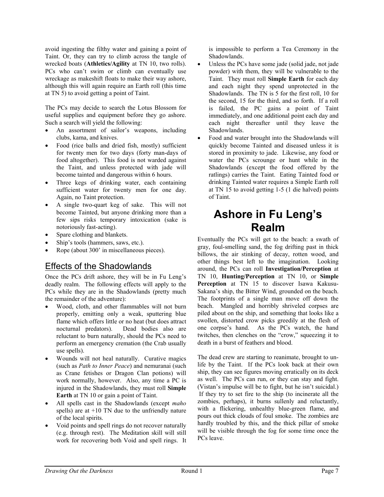avoid ingesting the filthy water and gaining a point of Taint. Or, they can try to climb across the tangle of wrecked boats (**Athletics/Agility** at TN 10, two rolls). PCs who can't swim or climb can eventually use wreckage as makeshift floats to make their way ashore, although this will again require an Earth roll (this time at TN 5) to avoid getting a point of Taint.

The PCs may decide to search the Lotus Blossom for useful supplies and equipment before they go ashore. Such a search will yield the following:

- An assortment of sailor's weapons, including clubs, kama, and knives.
- Food (rice balls and dried fish, mostly) sufficient for twenty men for two days (forty man-days of food altogether). This food is not warded against the Taint, and unless protected with jade will become tainted and dangerous within 6 hours.
- Three kegs of drinking water, each containing sufficient water for twenty men for one day. Again, no Taint protection.
- A single two-quart keg of sake. This will not become Tainted, but anyone drinking more than a few sips risks temporary intoxication (sake is notoriously fast-acting).
- Spare clothing and blankets.
- Ship's tools (hammers, saws, etc.).
- Rope (about 300' in miscellaneous pieces).

#### Effects of the Shadowlands

Once the PCs drift ashore, they will be in Fu Leng's deadly realm. The following effects will apply to the PCs while they are in the Shadowlands (pretty much the remainder of the adventure):

- Wood, cloth, and other flammables will not burn properly, emitting only a weak, sputtering blue flame which offers little or no heat (but does attract nocturnal predators). Dead bodies also are reluctant to burn naturally, should the PCs need to perform an emergency cremation (the Crab usually use spells).
- Wounds will not heal naturally. Curative magics (such as *Path to Inner Peace*) and nemuranai (such as Crane fetishes or Dragon Clan potions) will work normally, however. Also, any time a PC is injured in the Shadowlands, they must roll **Simple Earth** at TN 10 or gain a point of Taint.
- All spells cast in the Shadowlands (except *maho* spells) are at  $+10$  TN due to the unfriendly nature of the local spirits.
- Void points and spell rings do not recover naturally (e.g. through rest). The Meditation skill will still work for recovering both Void and spell rings. It

is impossible to perform a Tea Ceremony in the Shadowlands.

- Unless the PCs have some jade (solid jade, not jade powder) with them, they will be vulnerable to the Taint. They must roll **Simple Earth** for each day and each night they spend unprotected in the Shadowlands. The TN is 5 for the first roll, 10 for the second, 15 for the third, and so forth. If a roll is failed, the PC gains a point of Taint immediately, and one additional point each day and each night thereafter until they leave the Shadowlands.
- Food and water brought into the Shadowlands will quickly become Tainted and diseased unless it is stored in proximity to jade. Likewise, any food or water the PCs scrounge or hunt while in the Shadowlands (except the food offered by the ratlings) carries the Taint. Eating Tainted food or drinking Tainted water requires a Simple Earth roll at TN 15 to avoid getting 1-5 (1 die halved) points of Taint.

## **Ashore in Fu Leng's Realm**

Eventually the PCs will get to the beach: a swath of gray, foul-smelling sand, the fog drifting past in thick billows, the air stinking of decay, rotten wood, and other things best left to the imagination. Looking around, the PCs can roll **Investigation/Perception** at TN 10, **Hunting/Perception** at TN 10, or **Simple Perception** at TN 15 to discover Isawa Kakusu-Sakana's ship, the Bitter Wind, grounded on the beach. The footprints of a single man move off down the beach. Mangled and horribly shriveled corpses are piled about on the ship, and something that looks like a swollen, distorted crow picks greedily at the flesh of one corpse's hand. As the PCs watch, the hand twitches, then clenches on the "crow," squeezing it to death in a burst of feathers and blood.

The dead crew are starting to reanimate, brought to unlife by the Taint. If the PCs look back at their own ship, they can see figures moving erratically on its deck as well. The PCs can run, or they can stay and fight. (Vistan's impulse will be to fight, but he isn't suicidal.) If they try to set fire to the ship (to incinerate all the zombies, perhaps), it burns sullenly and reluctantly, with a flickering, unhealthy blue-green flame, and pours out thick clouds of foul smoke. The zombies are hardly troubled by this, and the thick pillar of smoke will be visible through the fog for some time once the PCs leave.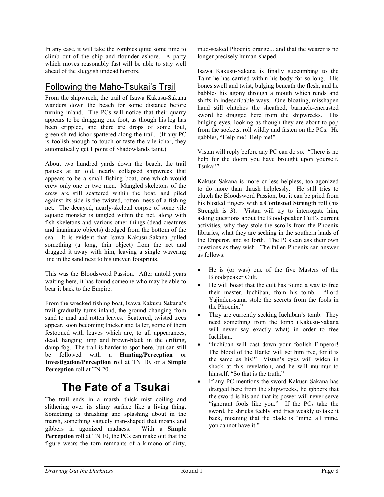In any case, it will take the zombies quite some time to climb out of the ship and flounder ashore. A party which moves reasonably fast will be able to stay well ahead of the sluggish undead horrors.

#### Following the Maho-Tsukai's Trail

From the shipwreck, the trail of Isawa Kakusu-Sakana wanders down the beach for some distance before turning inland. The PCs will notice that their quarry appears to be dragging one foot, as though his leg has been crippled, and there are drops of some foul, greenish-red ichor spattered along the trail. (If any PC is foolish enough to touch or taste the vile ichor, they automatically get 1 point of Shadowlands taint.)

About two hundred yards down the beach, the trail pauses at an old, nearly collapsed shipwreck that appears to be a small fishing boat, one which would crew only one or two men. Mangled skeletons of the crew are still scattered within the boat, and piled against its side is the twisted, rotten mess of a fishing net. The decayed, nearly-skeletal corpse of some vile aquatic monster is tangled within the net, along with fish skeletons and various other things (dead creatures and inanimate objects) dredged from the bottom of the sea. It is evident that Isawa Kakusu-Sakana pulled something (a long, thin object) from the net and dragged it away with him, leaving a single wavering line in the sand next to his uneven footprints.

This was the Bloodsword Passion. After untold years waiting here, it has found someone who may be able to bear it back to the Empire.

From the wrecked fishing boat, Isawa Kakusu-Sakana's trail gradually turns inland, the ground changing from sand to mud and rotten leaves. Scattered, twisted trees appear, soon becoming thicker and taller, some of them festooned with leaves which are, to all appearances, dead, hanging limp and brown-black in the drifting, damp fog. The trail is harder to spot here, but can still be followed with a **Hunting/Perception** or **Investigation/Perception** roll at TN 10, or a **Simple Perception** roll at TN 20.

## **The Fate of a Tsukai**

The trail ends in a marsh, thick mist coiling and slithering over its slimy surface like a living thing. Something is thrashing and splashing about in the marsh, something vaguely man-shaped that moans and gibbers in agonized madness. With a **Simple Perception** roll at TN 10, the PCs can make out that the figure wears the torn remnants of a kimono of dirty,

mud-soaked Phoenix orange... and that the wearer is no longer precisely human-shaped.

Isawa Kakusu-Sakana is finally succumbing to the Taint he has carried within his body for so long. His bones swell and twist, bulging beneath the flesh, and he babbles his agony through a mouth which rends and shifts in indescribable ways. One bloating, misshapen hand still clutches the sheathed, barnacle-encrusted sword he dragged here from the shipwrecks. His bulging eyes, looking as though they are about to pop from the sockets, roll wildly and fasten on the PCs. He gabbles, "Help me! Help me!"

Vistan will reply before any PC can do so. "There is no help for the doom you have brought upon yourself, Tsukai!"

Kakusu-Sakana is more or less helpless, too agonized to do more than thrash helplessly. He still tries to clutch the Bloodsword Passion, but it can be pried from his bloated fingers with a **Contested Strength** roll (his Strength is 3). Vistan will try to interrogate him, asking questions about the Bloodspeaker Cult's current activities, why they stole the scrolls from the Phoenix libraries, what they are seeking in the southern lands of the Emperor, and so forth. The PCs can ask their own questions as they wish. The fallen Phoenix can answer as follows:

- He is (or was) one of the five Masters of the Bloodspeaker Cult.
- He will boast that the cult has found a way to free their master, Iuchiban, from his tomb. "Lord Yajinden-sama stole the secrets from the fools in the Phoenix."
- They are currently seeking Iuchiban's tomb. They need something from the tomb (Kakusu-Sakana will never say exactly what) in order to free Iuchiban.
- "Iuchiban will cast down your foolish Emperor! The blood of the Hantei will set him free, for it is the same as his!" Vistan's eyes will widen in shock at this revelation, and he will murmur to himself, "So that is the truth."
- If any PC mentions the sword Kakusu-Sakana has dragged here from the shipwrecks, he gibbers that the sword is his and that its power will never serve "ignorant fools like you." If the PCs take the sword, he shrieks feebly and tries weakly to take it back, moaning that the blade is "mine, all mine, you cannot have it."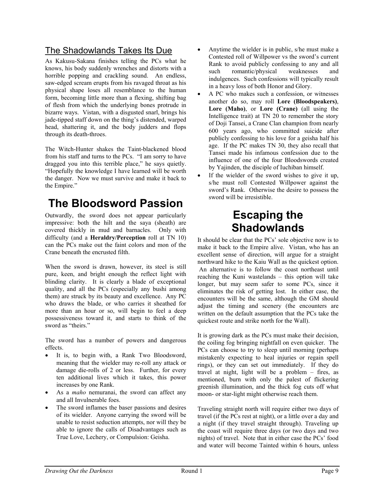#### The Shadowlands Takes Its Due

As Kakusu-Sakana finishes telling the PCs what he knows, his body suddenly wrenches and distorts with a horrible popping and crackling sound. An endless, saw-edged scream erupts from his ravaged throat as his physical shape loses all resemblance to the human form, becoming little more than a flexing, shifting bag of flesh from which the underlying bones protrude in bizarre ways. Vistan, with a disgusted snarl, brings his jade-tipped staff down on the thing's distended, warped head, shattering it, and the body judders and flops through its death-throes.

The Witch-Hunter shakes the Taint-blackened blood from his staff and turns to the PCs. "I am sorry to have dragged you into this terrible place," he says quietly. "Hopefully the knowledge I have learned will be worth the danger. Now we must survive and make it back to the Empire."

## **The Bloodsword Passion**

Outwardly, the sword does not appear particularly impressive: both the hilt and the saya (sheath) are covered thickly in mud and barnacles. Only with difficulty (and a **Heraldry/Perception** roll at TN 10) can the PCs make out the faint colors and mon of the Crane beneath the encrusted filth.

When the sword is drawn, however, its steel is still pure, keen, and bright enough the reflect light with blinding clarity. It is clearly a blade of exceptional quality, and all the PCs (especially any bushi among them) are struck by its beauty and excellence. Any PC who draws the blade, or who carries it sheathed for more than an hour or so, will begin to feel a deep possessiveness toward it, and starts to think of the sword as "theirs."

The sword has a number of powers and dangerous effects.

- It is, to begin with, a Rank Two Bloodsword, meaning that the wielder may re-roll any attack or damage die-rolls of 2 or less. Further, for every ten additional lives which it takes, this power increases by one Rank.
- As a *maho* nemuranai, the sword can affect any and all Invulnerable foes.
- The sword inflames the baser passions and desires of its wielder. Anyone carrying the sword will be unable to resist seduction attempts, nor will they be able to ignore the calls of Disadvantages such as True Love, Lechery, or Compulsion: Geisha.
- Anytime the wielder is in public, s/he must make a Contested roll of Willpower vs the sword's current Rank to avoid publicly confessing to any and all such romantic/physical weaknesses and indulgences. Such confessions will typically result in a heavy loss of both Honor and Glory.
- A PC who makes such a confession, or witnesses another do so, may roll **Lore (Bloodspeakers)**, **Lore (Maho)**, or **Lore (Crane)** (all using the Intelligence trait) at TN 20 to remember the story of Doji Tansei, a Crane Clan champion from nearly 600 years ago, who committed suicide after publicly confessing to his love for a geisha half his age. If the PC makes TN 30, they also recall that Tansei made his infamous confession due to the influence of one of the four Bloodswords created by Yajinden, the disciple of Iuchiban himself.
- If the wielder of the sword wishes to give it up, s/he must roll Contested Willpower against the sword's Rank. Otherwise the desire to possess the sword will be irresistible.

## **Escaping the Shadowlands**

It should be clear that the PCs' sole objective now is to make it back to the Empire alive. Vistan, who has an excellent sense of direction, will argue for a straight northward hike to the Kaiu Wall as the quickest option. An alternative is to follow the coast northeast until reaching the Kuni wastelands – this option will take longer, but may seem safer to some PCs, since it eliminates the risk of getting lost. In either case, the encounters will be the same, although the GM should adjust the timing and scenery (the encounters are written on the default assumption that the PCs take the quickest route and strike north for the Wall).

It is growing dark as the PCs must make their decision, the coiling fog bringing nightfall on even quicker. The PCs can choose to try to sleep until morning (perhaps mistakenly expecting to heal injuries or regain spell rings), or they can set out immediately. If they do travel at night, light will be a problem – fires, as mentioned, burn with only the palest of flickering greenish illumination, and the thick fog cuts off what moon- or star-light might otherwise reach them.

Traveling straight north will require either two days of travel (if the PCs rest at night), or a little over a day and a night (if they travel straight through). Traveling up the coast will require three days (or two days and two nights) of travel. Note that in either case the PCs' food and water will become Tainted within 6 hours, unless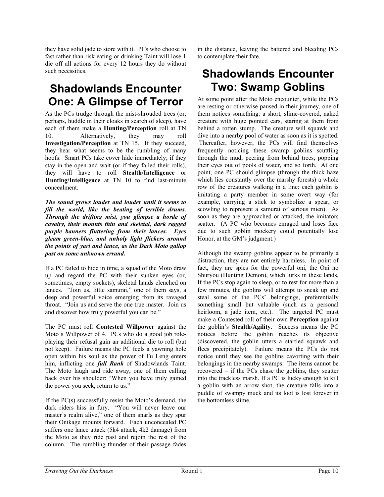they have solid jade to store with it. PCs who choose to fast rather than risk eating or drinking Taint will lose 1 die off all actions for every 12 hours they do without such necessities.

## **Shadowlands Encounter One: A Glimpse of Terror**

As the PCs trudge through the mist-shrouded trees (or, perhaps, huddle in their cloaks in search of sleep), have each of them make a **Hunting/Perception** roll at TN 10. Alternatively, they may roll **Investigation/Perception** at TN 15. If they succeed, they hear what seems to be the rumbling of many hoofs. Smart PCs take cover hide immediately; if they stay in the open and wait (or if they failed their rolls), they will have to roll **Stealth/Intelligence** or **Hunting/Intelligence** at TN 10 to find last-minute concealment.

*The sound grows louder and louder until it seems to fill the world, like the beating of terrible drums. Through the drifting mist, you glimpse a horde of cavalry, their mounts thin and skeletal, dark ragged purple banners fluttering from their lances. Eyes gleam green-blue, and unholy light flickers around the points of yari and lance, as the Dark Moto gallop past on some unknown errand.* 

If a PC failed to hide in time, a squad of the Moto draw up and regard the PC with their sunken eyes (or, sometimes, empty sockets), skeletal hands clenched on lances. "Join us, little samurai," one of them says, a deep and powerful voice emerging from its ravaged throat. "Join us and serve the one true master. Join us and discover how truly powerful you can be."

The PC must roll **Contested Willpower** against the Moto's Willpower of 4. PCs who do a good job roleplaying their refusal gain an additional die to roll (but not keep). Failure means the PC feels a yawning hole open within his soul as the power of Fu Leng enters him, inflicting one *full Rank* of Shadowlands Taint. The Moto laugh and ride away, one of them calling back over his shoulder: "When you have truly gained the power you seek, return to us."

If the PC(s) successfully resist the Moto's demand, the dark riders hiss in fury. "You will never leave our master's realm alive," one of them snarls as they spur their Onikage mounts forward. Each unconcealed PC suffers one lance attack (5k4 attack, 4k2 damage) from the Moto as they ride past and rejoin the rest of the column. The rumbling thunder of their passage fades

in the distance, leaving the battered and bleeding PCs to contemplate their fate.

## **Shadowlands Encounter Two: Swamp Goblins**

At some point after the Moto encounter, while the PCs are resting or otherwise paused in their journey, one of them notices something: a short, slime-covered, naked creature with huge pointed ears, staring at them from behind a rotten stump. The creature will squawk and dive into a nearby pool of water as soon as it is spotted. Thereafter, however, the PCs will find themselves frequently noticing these swamp goblins scuttling through the mud, peering from behind trees, popping their eyes out of pools of water, and so forth. At one point, one PC should glimpse (through the thick haze which lies constantly over the marshy forests) a whole row of the creatures walking in a line: each goblin is imitating a party member in some overt way (for example, carrying a stick to symbolize a spear, or scowling to represent a samurai of serious mien). As soon as they are approached or attacked, the imitators scatter. (A PC who becomes enraged and loses face due to such goblin mockery could potentially lose Honor, at the GM's judgment.)

Although the swamp goblins appear to be primarily a distraction, they are not entirely harmless. In point of fact, they are spies for the powerful oni, the Oni no Shuryou (Hunting Demon), which lurks in these lands. If the PCs stop again to sleep, or to rest for more than a few minutes, the goblins will attempt to sneak up and steal some of the PCs' belongings, preferentially something small but valuable (such as a personal heirloom, a jade item, etc.). The targeted PC must make a Contested roll of their own **Perception** against the goblin's **Stealth/Agility**. Success means the PC notices before the goblin reaches its objective (discovered, the goblin utters a startled squawk and flees precipitately). Failure means the PCs do not notice until they see the goblins cavorting with their belongings in the nearby swamps. The items cannot be recovered – if the PCs chase the goblins, they scatter into the trackless marsh. If a PC is lucky enough to kill a goblin with an arrow shot, the creature falls into a puddle of swampy muck and its loot is lost forever in the bottomless slime.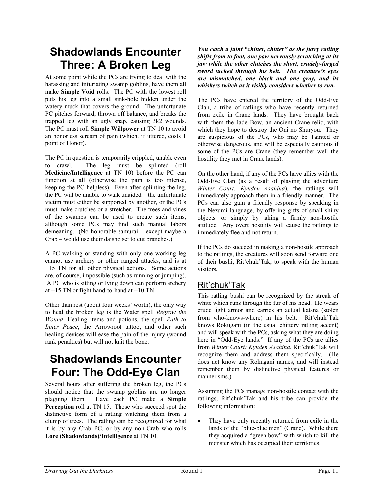## **Shadowlands Encounter Three: A Broken Leg**

At some point while the PCs are trying to deal with the harassing and infuriating swamp goblins, have them all make **Simple Void** rolls. The PC with the lowest roll puts his leg into a small sink-hole hidden under the watery muck that covers the ground. The unfortunate PC pitches forward, thrown off balance, and breaks the trapped leg with an ugly snap, causing 3k2 wounds. The PC must roll **Simple Willpower** at TN 10 to avoid an honorless scream of pain (which, if uttered, costs 1 point of Honor).

The PC in question is temporarily crippled, unable even to crawl. The leg must be splinted (roll **Medicine/Intelligence** at TN 10) before the PC can function at all (otherwise the pain is too intense, keeping the PC helpless). Even after splinting the leg, the PC will be unable to walk unaided – the unfortunate victim must either be supported by another, or the PCs must make crutches or a stretcher. The trees and vines of the swamps can be used to create such items, although some PCs may find such manual labors demeaning. (No honorable samurai – except maybe a Crab – would use their daisho set to cut branches.)

A PC walking or standing with only one working leg cannot use archery or other ranged attacks, and is at +15 TN for all other physical actions. Some actions are, of course, impossible (such as running or jumping). A PC who is sitting or lying down can perform archery at +15 TN or fight hand-to-hand at +10 TN.

Other than rest (about four weeks' worth), the only way to heal the broken leg is the Water spell *Regrow the Wound*. Healing items and potions, the spell *Path to Inner Peace*, the Arrowroot tattoo, and other such healing devices will ease the pain of the injury (wound rank penalties) but will not knit the bone.

## **Shadowlands Encounter Four: The Odd-Eye Clan**

Several hours after suffering the broken leg, the PCs should notice that the swamp goblins are no longer plaguing them. Have each PC make a **Simple Perception** roll at TN 15. Those who succeed spot the distinctive form of a ratling watching them from a clump of trees. The ratling can be recognized for what it is by any Crab PC, or by any non-Crab who rolls **Lore (Shadowlands)/Intelligence** at TN 10.

*You catch a faint "chitter, chitter" as the furry ratling shifts from to foot, one paw nervously scratching at its jaw while the other clutches the short, crudely-forged sword tucked through his belt. The creature's eyes are mismatched, one black and one gray, and its whiskers twitch as it visibly considers whether to run.* 

The PCs have entered the territory of the Odd-Eye Clan, a tribe of ratlings who have recently returned from exile in Crane lands. They have brought back with them the Jade Bow, an ancient Crane relic, with which they hope to destroy the Oni no Shuryou. They are suspicious of the PCs, who may be Tainted or otherwise dangerous, and will be especially cautious if some of the PCs are Crane (they remember well the hostility they met in Crane lands).

On the other hand, if any of the PCs have allies with the Odd-Eye Clan (as a result of playing the adventure *Winter Court: Kyuden Asahina*), the ratlings will immediately approach them in a friendly manner. The PCs can also gain a friendly response by speaking in the Nezumi language, by offering gifts of small shiny objects, or simply by taking a firmly non-hostile attitude. Any overt hostility will cause the ratlings to immediately flee and not return.

If the PCs do succeed in making a non-hostile approach to the ratlings, the creatures will soon send forward one of their bushi, Rit'chuk'Tak, to speak with the human visitors.

#### Rit'chuk'Tak

This ratling bushi can be recognized by the streak of white which runs through the fur of his head. He wears crude light armor and carries an actual katana (stolen from who-knows-where) in his belt. Rit'chuk'Tak knows Rokugani (in the usual chittery ratling accent) and will speak with the PCs, asking what they are doing here in "Odd-Eye lands." If any of the PCs are allies from *Winter Court: Kyuden Asahina*, Rit'chuk'Tak will recognize them and address them specifically. (He does not know any Rokugani names, and will instead remember them by distinctive physical features or mannerisms.)

Assuming the PCs manage non-hostile contact with the ratlings, Rit'chuk'Tak and his tribe can provide the following information:

They have only recently returned from exile in the lands of the "blue-blue men" (Crane). While there they acquired a "green bow" with which to kill the monster which has occupied their territories.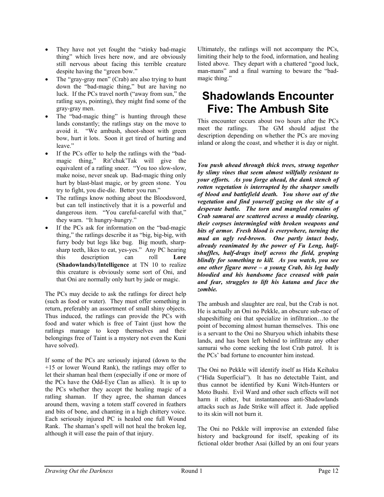- They have not yet fought the "stinky bad-magic thing" which lives here now, and are obviously still nervous about facing this terrible creature despite having the "green bow."
- The "gray-gray men" (Crab) are also trying to hunt down the "bad-magic thing," but are having no luck. If the PCs travel north ("away from sun," the ratling says, pointing), they might find some of the gray-gray men.
- The "bad-magic thing" is hunting through these lands constantly; the ratlings stay on the move to avoid it. "We ambush, shoot-shoot with green bow, hurt it lots. Soon it get tired of hurting and leave."
- If the PCs offer to help the ratlings with the "badmagic thing," Rit'chuk'Tak will give the equivalent of a ratling sneer. "You too slow-slow, make noise, never sneak up. Bad-magic thing only hurt by blast-blast magic, or by green stone. You try to fight, you die-die. Better you run."
- The ratlings know nothing about the Bloodsword, but can tell instinctively that it is a powerful and dangerous item. "You careful-careful with that," they warn. "It hungry-hungry."
- If the PCs ask for information on the "bad-magic thing," the ratlings describe it as "big, big-big, with furry body but legs like bug. Big mouth, sharpsharp teeth, likes to eat, yes-yes." Any PC hearing this description can roll **Lore (Shadowlands)/Intelligence** at TN 10 to realize this creature is obviously some sort of Oni, and that Oni are normally only hurt by jade or magic.

The PCs may decide to ask the ratlings for direct help (such as food or water). They must offer something in return, preferably an assortment of small shiny objects. Thus induced, the ratlings can provide the PCs with food and water which is free of Taint (just how the ratlings manage to keep themselves and their belongings free of Taint is a mystery not even the Kuni have solved).

If some of the PCs are seriously injured (down to the +15 or lower Wound Rank), the ratlings may offer to let their shaman heal them (especially if one or more of the PCs have the Odd-Eye Clan as allies). It is up to the PCs whether they accept the healing magic of a ratling shaman. If they agree, the shaman dances around them, waving a totem staff covered in feathers and bits of bone, and chanting in a high chittery voice. Each seriously injured PC is healed one full Wound Rank. The shaman's spell will not heal the broken leg, although it will ease the pain of that injury.

Ultimately, the ratlings will not accompany the PCs, limiting their help to the food, information, and healing listed above. They depart with a chattered "good luck, man-mans" and a final warning to beware the "badmagic thing."

## **Shadowlands Encounter Five: The Ambush Site**

This encounter occurs about two hours after the PCs meet the ratlings. The GM should adjust the description depending on whether the PCs are moving inland or along the coast, and whether it is day or night.

*You push ahead through thick trees, strung together by slimy vines that seem almost willfully resistant to your efforts. As you forge ahead, the dank stench of rotten vegetation is interrupted by the sharper smells of blood and battlefield death. You shove out of the vegetation and find yourself gazing on the site of a desperate battle. The torn and mangled remains of Crab samurai are scattered across a muddy clearing, their corpses intermingled with broken weapons and bits of armor. Fresh blood is everywhere, turning the mud an ugly red-brown. One partly intact body, already reanimated by the power of Fu Leng, halfshuffles, half-drags itself across the field, groping blindly for something to kill. As you watch, you see one other figure move – a young Crab, his leg badly bloodied and his handsome face creased with pain and fear, struggles to lift his katana and face the zombie.* 

The ambush and slaughter are real, but the Crab is not. He is actually an Oni no Pekkle, an obscure sub-race of shapeshifting oni that specialize in infiltration…to the point of becoming almost human themselves. This one is a servant to the Oni no Shuryou which inhabits these lands, and has been left behind to infiltrate any other samurai who come seeking the lost Crab patrol. It is the PCs' bad fortune to encounter him instead.

The Oni no Pekkle will identify itself as Hida Keihaku ("Hida Superficial"). It has no detectable Taint, and thus cannot be identified by Kuni Witch-Hunters or Moto Bushi. Evil Ward and other such effects will not harm it either, but instantaneous anti-Shadowlands attacks such as Jade Strike will affect it. Jade applied to its skin will not burn it.

The Oni no Pekkle will improvise an extended false history and background for itself, speaking of its fictional older brother Asai (killed by an oni four years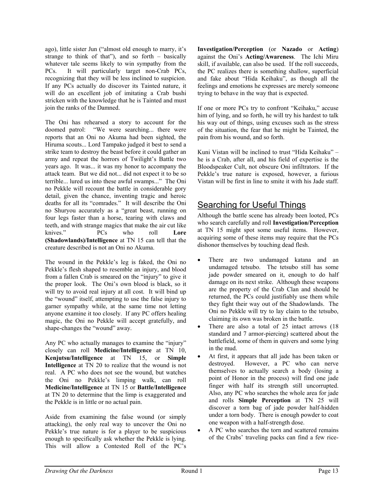ago), little sister Jun ("almost old enough to marry, it's strange to think of that"), and so forth – basically whatever tale seems likely to win sympathy from the PCs. It will particularly target non-Crab PCs, recognizing that they will be less inclined to suspicion. If any PCs actually do discover its Tainted nature, it will do an excellent job of imitating a Crab bushi stricken with the knowledge that he is Tainted and must join the ranks of the Damned.

The Oni has rehearsed a story to account for the doomed patrol: "We were searching... there were reports that an Oni no Akuma had been sighted, the Hiruma scouts... Lord Tampako judged it best to send a strike team to destroy the beast before it could gather an army and repeat the horrors of Twilight's Battle two years ago. It was... it was my honor to accompany the attack team. But we did not... did not expect it to be so terrible... lured us into these awful swamps..." The Oni no Pekkle will recount the battle in considerable gory detail, given the chance, inventing tragic and heroic deaths for all its "comrades." It will describe the Oni no Shuryou accurately as a "great beast, running on four legs faster than a horse, tearing with claws and teeth, and with strange magics that make the air cut like knives." PCs who roll **Lore (Shadowlands)/Intelligence** at TN 15 can tell that the creature described is not an Oni no Akuma.

The wound in the Pekkle's leg is faked, the Oni no Pekkle's flesh shaped to resemble an injury, and blood from a fallen Crab is smeared on the "injury" to give it the proper look. The Oni's own blood is black, so it will try to avoid real injury at all cost. It will bind up the "wound" itself, attempting to use the false injury to garner sympathy while, at the same time not letting anyone examine it too closely. If any PC offers healing magic, the Oni no Pekkle will accept gratefully, and shape-changes the "wound" away.

Any PC who actually manages to examine the "injury" closely can roll **Medicine/Intelligence** at TN 10, **Kenjutsu/Intelligence** at TN 15, or **Simple Intelligence** at TN 20 to realize that the wound is not real. A PC who does not see the wound, but watches the Oni no Pekkle's limping walk, can roll **Medicine/Intelligence** at TN 15 or **Battle/Intelligence** at TN 20 to determine that the limp is exaggerated and the Pekkle is in little or no actual pain.

Aside from examining the false wound (or simply attacking), the only real way to uncover the Oni no Pekkle's true nature is for a player to be suspicious enough to specifically ask whether the Pekkle is lying. This will allow a Contested Roll of the PC's **Investigation/Perception** (or **Nazado** or **Acting**) against the Oni's **Acting/Awareness**. The Ichi Miru skill, if available, can also be used. If the roll succeeds, the PC realizes there is something shallow, superficial and fake about "Hida Keihaku", as though all the feelings and emotions he expresses are merely someone trying to behave in the way that is expected.

If one or more PCs try to confront "Keihaku," accuse him of lying, and so forth, he will try his hardest to talk his way out of things, using excuses such as the stress of the situation, the fear that he might be Tainted, the pain from his wound, and so forth.

Kuni Vistan will be inclined to trust "Hida Keihaku" – he is a Crab, after all, and his field of expertise is the Bloodspeaker Cult, not obscure Oni infiltrators. If the Pekkle's true nature is exposed, however, a furious Vistan will be first in line to smite it with his Jade staff.

#### Searching for Useful Things

Although the battle scene has already been looted, PCs who search carefully and roll **Investigation/Perception** at TN 15 might spot some useful items. However, acquiring some of these items may require that the PCs dishonor themselves by touching dead flesh.

- There are two undamaged katana and an undamaged tetsubo. The tetsubo still has some jade powder smeared on it, enough to do half damage on its next strike. Although these weapons are the property of the Crab Clan and should be returned, the PCs could justifiably use them while they fight their way out of the Shadowlands. The Oni no Pekkle will try to lay claim to the tetsubo, claiming its own was broken in the battle.
- There are also a total of 25 intact arrows (18) standard and 7 armor-piercing) scattered about the battlefield, some of them in quivers and some lying in the mud.
- At first, it appears that all jade has been taken or destroyed. However, a PC who can nerve themselves to actually search a body (losing a point of Honor in the process) will find one jade finger with half its strength still uncorrupted. Also, any PC who searches the whole area for jade and rolls **Simple Perception** at TN 25 will discover a torn bag of jade powder half-hidden under a torn body. There is enough powder to coat one weapon with a half-strength dose.
- A PC who searches the torn and scattered remains of the Crabs' traveling packs can find a few rice-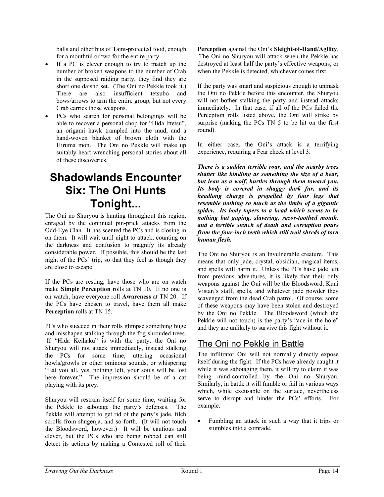balls and other bits of Taint-protected food, enough for a mouthful or two for the entire party.

- If a PC is clever enough to try to match up the number of broken weapons to the number of Crab in the supposed raiding party, they find they are short one daisho set. (The Oni no Pekkle took it.) There are also insufficient tetsubo and bows/arrows to arm the entire group, but not every Crab carries those weapons.
- PCs who search for personal belongings will be able to recover a personal chop for "Hida Ittetsu", an origami hawk trampled into the mud, and a hand-woven blanket of brown cloth with the Hiruma mon. The Oni no Pekkle will make up suitably heart-wrenching personal stories about all of these discoveries.

## **Shadowlands Encounter Six: The Oni Hunts Tonight...**

The Oni no Shuryou is hunting throughout this region, enraged by the continual pin-prick attacks from the Odd-Eye Clan. It has scented the PCs and is closing in on them. It will wait until night to attack, counting on the darkness and confusion to magnify its already considerable power. If possible, this should be the last night of the PCs' trip, so that they feel as though they are close to escape.

If the PCs are resting, have those who are on watch make **Simple Perception** rolls at TN 10. If no one is on watch, have everyone roll **Awareness** at TN 20. If the PCs have chosen to travel, have them all make **Perception** rolls at TN 15.

PCs who succeed in their rolls glimpse something huge and misshapen stalking through the fog-shrouded trees. If "Hida Keihaku" is with the party, the Oni no Shuryou will not attack immediately, instead stalking the PCs for some time, uttering occasional howls/growls or other ominous sounds, or whispering "Eat you all, yes, nothing left, your souls will be lost here forever." The impression should be of a cat playing with its prey.

Shuryou will restrain itself for some time, waiting for the Pekkle to sabotage the party's defenses. The Pekkle will attempt to get rid of the party's jade, filch scrolls from shugenja, and so forth. (It will not touch the Bloodsword, however.) It will be cautious and clever, but the PCs who are being robbed can still detect its actions by making a Contested roll of their **Perception** against the Oni's **Sleight-of-Hand/Agility**. The Oni no Shuryou will attack when the Pekkle has destroyed at least half the party's effective weapons, or when the Pekkle is detected, whichever comes first.

If the party was smart and suspicious enough to unmask the Oni no Pekkle before this encounter, the Shuryou will not bother stalking the party and instead attacks immediately. In that case, if all of the PCs failed the Perception rolls listed above, the Oni will strike by surprise (making the PCs TN 5 to be hit on the first round).

In either case, the Oni's attack is a terrifying experience, requiring a Fear check at level 3.

*There is a sudden terrible roar, and the nearby trees shatter like kindling as something the size of a bear, but lean as a wolf, hurtles through them toward you. Its body is covered in shaggy dark fur, and its headlong charge is propelled by four legs that resemble nothing so much as the limbs of a gigantic spider. Its body tapers to a head which seems to be nothing but gaping, slavering, razor-toothed mouth, and a terrible stench of death and corruption pours from the four-inch teeth which still trail shreds of torn human flesh.* 

The Oni no Shuryou is an Invulnerable creature. This means that only jade, crystal, obsidian, magical items, and spells will harm it. Unless the PCs have jade left from previous adventures, it is likely that their only weapons against the Oni will be the Bloodsword, Kuni Vistan's staff, spells, and whatever jade powder they scavenged from the dead Crab patrol. Of course, some of these weapons may have been stolen and destroyed by the Oni no Pekkle. The Bloodsword (which the Pekkle will not touch) is the party's "ace in the hole" and they are unlikely to survive this fight without it.

#### The Oni no Pekkle in Battle

The infiltrator Oni will not normally directly expose itself during the fight. If the PCs have already caught it while it was sabotaging them, it will try to claim it was being mind-controlled by the Oni no Shuryou. Similarly, in battle it will fumble or fail in various ways which, while excusable on the surface, nevertheless serve to disrupt and hinder the PCs' efforts. For example:

• Fumbling an attack in such a way that it trips or stumbles into a comrade.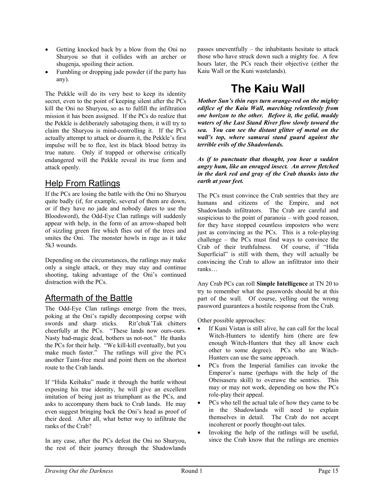- Getting knocked back by a blow from the Oni no Shuryou so that it collides with an archer or shugenja, spoiling their action.
- Fumbling or dropping jade powder (if the party has any).

The Pekkle will do its very best to keep its identity secret, even to the point of keeping silent after the PCs kill the Oni no Shuryou, so as to fulfill the infiltration mission it has been assigned. If the PCs do realize that the Pekkle is deliberately sabotaging them, it will try to claim the Shuryou is mind-controlling it. If the PCs actually attempt to attack or disarm it, the Pekkle's first impulse will be to flee, lest its black blood betray its true nature. Only if trapped or otherwise critically endangered will the Pekkle reveal its true form and attack openly.

#### Help From Ratlings

If the PCs are losing the battle with the Oni no Shuryou quite badly (if, for example, several of them are down, or if they have no jade and nobody dares to use the Bloodsword), the Odd-Eye Clan ratlings will suddenly appear with help, in the form of an arrow-shaped bolt of sizzling green fire which flies out of the trees and smites the Oni. The monster howls in rage as it take 5k3 wounds.

Depending on the circumstances, the ratlings may make only a single attack, or they may stay and continue shooting, taking advantage of the Oni's continued distraction with the PCs.

#### Aftermath of the Battle

The Odd-Eye Clan ratlings emerge from the trees, poking at the Oni's rapidly decomposing corpse with swords and sharp sticks. Rit'chuk'Tak chitters cheerfully at the PCs. "These lands now ours-ours. Nasty bad-magic dead, bothers us not-not." He thanks the PCs for their help. "We kill-kill eventually, but you make much faster." The ratlings will give the PCs another Taint-free meal and point them on the shortest route to the Crab lands.

If "Hida Keihaku" made it through the battle without exposing his true identity, he will give an excellent imitation of being just as triumphant as the PCs, and asks to accompany them back to Crab lands. He may even suggest bringing back the Oni's head as proof of their deed. After all, what better way to infiltrate the ranks of the Crab?

In any case, after the PCs defeat the Oni no Shuryou, the rest of their journey through the Shadowlands passes uneventfully – the inhabitants hesitate to attack those who have struck down such a mighty foe. A few hours later, the PCs reach their objective (either the Kaiu Wall or the Kuni wastelands).

## **The Kaiu Wall**

*Mother Sun's thin rays turn orange-red on the mighty edifice of the Kaiu Wall, marching relentlessly from one horizon to the other. Before it, the gelid, muddy waters of the Last Stand River flow slowly toward the sea. You can see the distant glitter of metal on the wall's top, where samurai stand guard against the terrible evils of the Shadowlands.* 

*As if to punctuate that thought, you hear a sudden angry hum, like an enraged insect. An arrow fletched in the dark red and gray of the Crab thunks into the earth at your feet.* 

The PCs must convince the Crab sentries that they are humans and citizens of the Empire, and not Shadowlands infiltrators. The Crab are careful and suspicious to the point of paranoia – with good reason, for they have stopped countless imposters who were just as convincing as the PCs. This is a role-playing challenge – the PCs must find ways to convince the Crab of their truthfulness. Of course, if "Hida Superficial" is still with them, they will actually be convincing the Crab to allow an infiltrator into their ranks…

Any Crab PCs can roll **Simple Intelligence** at TN 20 to try to remember what the passwords should be at this part of the wall. Of course, yelling out the wrong password guarantees a hostile response from the Crab.

Other possible approaches:

- If Kuni Vistan is still alive, he can call for the local Witch-Hunters to identify him (there are few enough Witch-Hunters that they all know each other to some degree). PCs who are Witch-Hunters can use the same approach.
- PCs from the Imperial families can invoke the Emperor's name (perhaps with the help of the Obeisaseru skill) to overawe the sentries. This may or may not work, depending on how the PCs role-play their appeal.
- PCs who tell the actual tale of how they came to be in the Shadowlands will need to explain themselves in detail. The Crab do not accept incoherent or poorly thought-out tales.
- Invoking the help of the ratlings will be useful, since the Crab know that the ratlings are enemies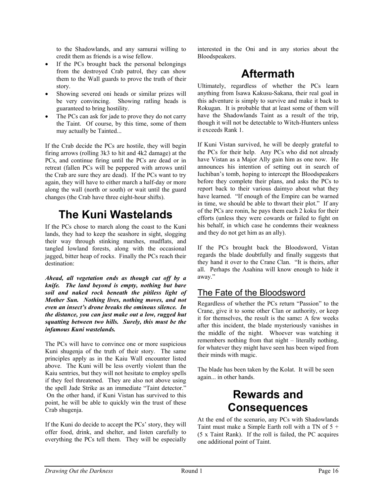to the Shadowlands, and any samurai willing to credit them as friends is a wise fellow.

- If the PCs brought back the personal belongings from the destroyed Crab patrol, they can show them to the Wall guards to prove the truth of their story.
- Showing severed oni heads or similar prizes will be very convincing. Showing ratling heads is guaranteed to bring hostility.
- The PCs can ask for jade to prove they do not carry the Taint. Of course, by this time, some of them may actually be Tainted...

If the Crab decide the PCs are hostile, they will begin firing arrows (rolling 3k3 to hit and 4k2 damage) at the PCs, and continue firing until the PCs are dead or in retreat (fallen PCs will be peppered with arrows until the Crab are sure they are dead). If the PCs want to try again, they will have to either march a half-day or more along the wall (north or south) or wait until the guard changes (the Crab have three eight-hour shifts).

## **The Kuni Wastelands**

If the PCs chose to march along the coast to the Kuni lands, they had to keep the seashore in sight, slogging their way through stinking marshes, mudflats, and tangled lowland forests, along with the occasional jagged, bitter heap of rocks. Finally the PCs reach their destination:

*Ahead, all vegetation ends as though cut off by a knife. The land beyond is empty, nothing but bare soil and naked rock beneath the pitiless light of Mother Sun. Nothing lives, nothing moves, and not even an insect's drone breaks the ominous silence. In the distance, you can just make out a low, rugged hut squatting between two hills. Surely, this must be the infamous Kuni wastelands.* 

The PCs will have to convince one or more suspicious Kuni shugenja of the truth of their story. The same principles apply as in the Kaiu Wall encounter listed above. The Kuni will be less overtly violent than the Kaiu sentries, but they will not hesitate to employ spells if they feel threatened. They are also not above using the spell Jade Strike as an immediate "Taint detector." On the other hand, if Kuni Vistan has survived to this point, he will be able to quickly win the trust of these Crab shugenja.

If the Kuni do decide to accept the PCs' story, they will offer food, drink, and shelter, and listen carefully to everything the PCs tell them. They will be especially interested in the Oni and in any stories about the Bloodspeakers.

## **Aftermath**

Ultimately, regardless of whether the PCs learn anything from Isawa Kakusu-Sakana, their real goal in this adventure is simply to survive and make it back to Rokugan. It is probable that at least some of them will have the Shadowlands Taint as a result of the trip, though it will not be detectable to Witch-Hunters unless it exceeds Rank 1.

If Kuni Vistan survived, he will be deeply grateful to the PCs for their help. Any PCs who did not already have Vistan as a Major Ally gain him as one now. He announces his intention of setting out in search of Iuchiban's tomb, hoping to intercept the Bloodspeakers before they complete their plans, and asks the PCs to report back to their various daimyo about what they have learned. "If enough of the Empire can be warned in time, we should be able to thwart their plot." If any of the PCs are ronin, he pays them each 2 koku for their efforts (unless they were cowards or failed to fight on his behalf, in which case he condemns their weakness and they do not get him as an ally).

If the PCs brought back the Bloodsword, Vistan regards the blade doubtfully and finally suggests that they hand it over to the Crane Clan. "It is theirs, after all. Perhaps the Asahina will know enough to hide it away."

#### The Fate of the Bloodsword

Regardless of whether the PCs return "Passion" to the Crane, give it to some other Clan or authority, or keep it for themselves, the result is the same**:** A few weeks after this incident, the blade mysteriously vanishes in the middle of the night. Whoever was watching it remembers nothing from that night – literally nothing, for whatever they might have seen has been wiped from their minds with magic.

The blade has been taken by the Kolat. It will be seen again... in other hands.

## **Rewards and Consequences**

At the end of the scenario, any PCs with Shadowlands Taint must make a Simple Earth roll with a TN of 5 + (5 x Taint Rank). If the roll is failed, the PC acquires one additional point of Taint.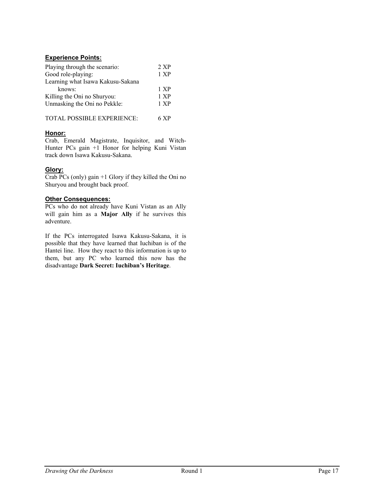#### **Experience Points:**

| Playing through the scenario:     | 2 XP |
|-----------------------------------|------|
| Good role-playing:                | 1 XP |
| Learning what Isawa Kakusu-Sakana |      |
| knows:                            | 1 XP |
| Killing the Oni no Shuryou:       | 1 XP |
| Unmasking the Oni no Pekkle:      | 1 XP |
|                                   |      |

| TOTAL POSSIBLE EXPERIENCE: | 6 XP |
|----------------------------|------|
|----------------------------|------|

#### **Honor:**

Crab, Emerald Magistrate, Inquisitor, and Witch-Hunter PCs gain +1 Honor for helping Kuni Vistan track down Isawa Kakusu-Sakana.

#### **Glory:**

Crab PCs (only) gain +1 Glory if they killed the Oni no Shuryou and brought back proof.

#### **Other Consequences:**

PCs who do not already have Kuni Vistan as an Ally will gain him as a **Major Ally** if he survives this adventure.

If the PCs interrogated Isawa Kakusu-Sakana, it is possible that they have learned that Iuchiban is of the Hantei line. How they react to this information is up to them, but any PC who learned this now has the disadvantage **Dark Secret: Iuchiban's Heritage**.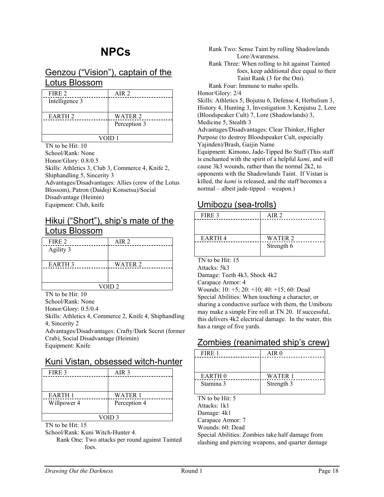#### Genzou ("Vision"), captain of the Lotus Blossom

| FIRE 2             | AIR <sub>2</sub> |
|--------------------|------------------|
| Intelligence 3     |                  |
| EARTH <sub>2</sub> | WATER 2          |
|                    | Perception 3     |
| VOID 1             |                  |

TN to be Hit: 10 School/Rank: None Honor/Glory: 0.8/0.5 Skills: Athletics 3, Club 3, Commerce 4, Knife 2, Shiphandling 5, Sincerity 3 Advantages/Disadvantages: Allies (crew of the Lotus Blossom), Patron (Daidoji Konsetsu)/Social Disadvantage (Heimin) Equipment: Club, knife

#### Hikui ("Short"), ship's mate of the Lotus Blossom

| FIRE 2        | AIR 2   |
|---------------|---------|
| Agility 3     |         |
| <b>EARTH3</b> | WATER 2 |
|               |         |
| VOID 2        |         |

TN to be Hit: 10

School/Rank: None

Honor/Glory: 0.5/0.4

Skills: Athletics 4, Commerce 2, Knife 4, Shiphandling 4, Sincerity 2 Advantages/Disadvantages: Crafty/Dark Secret (former Crab), Social Disadvantage (Heimin)

Equipment: Knife

#### Kuni Vistan, obsessed witch-hunter

| FIRE 3            | AIR <sub>3</sub> |
|-------------------|------------------|
|                   |                  |
|                   |                  |
| EARTH 1           | <b>WATER 1</b>   |
| Willpower 4       | Perception 4     |
| VOID <sub>3</sub> |                  |

TN to be Hit: 15

School/Rank: Kuni Witch-Hunter 4.

Rank One: Two attacks per round against Tainted foes.

Rank Two: Sense Taint by rolling Shadowlands Lore/Awareness. Rank Three: When rolling to hit against Tainted foes, keep additional dice equal to their Taint Rank (3 for the Oni). Rank Four: Immune to maho spells. Honor/Glory: 2/4 Skills: Athletics 5, Bojutsu 6, Defense 4, Herbalism 3, History 4, Hunting 3, Investigation 3, Kenjutsu 2, Lore (Bloodspeaker Cult) 7, Lore (Shadowlands) 3, Medicine 5, Stealth 3 Advantages/Disadvantages: Clear Thinker, Higher Purpose (to destroy Bloodspeaker Cult, especially Yajinden)/Brash, Gaijin Name Equipment: Kimono, Jade-Tipped Bo Staff (This staff is enchanted with the spirit of a helpful *kami*, and will cause 3k3 wounds, rather than the normal 2k2, to opponents with the Shadowlands Taint. If Vistan is killed, the *kami* is released, and the staff becomes a

#### Umibozu (sea-trolls)

normal – albeit jade-tipped – weapon.)

| FIRE 3             | AIR 2      |
|--------------------|------------|
|                    |            |
|                    |            |
| EARTH <sub>4</sub> | WATER 2    |
|                    | Strength 6 |
|                    |            |

TN to be Hit: 15

Attacks: 5k3

Damage: Teeth 4k3, Shock 4k2

Carapace Armor: 4

Wounds: 10: +5; 20: +10; 40: +15; 60: Dead Special Abilities: When touching a character, or sharing a conductive surface with them, the Umibozu may make a simple Fire roll at TN 20. If successful, this delivers 4k2 electrical damage. In the water, this has a range of five yards.

#### Zombies (reanimated ship's crew)

| FIRE 1             | AIR <sub>0</sub> |
|--------------------|------------------|
|                    |                  |
|                    |                  |
| EARTH <sub>0</sub> | WATER 1          |
| Stamina 3          | Strength 3       |
|                    |                  |

TN to be Hit: 5

Attacks: 1k1

Damage: 4k1

Carapace Armor: 7

Wounds: 60: Dead

Special Abilities: Zombies take half damage from slashing and piercing weapons, and quarter damage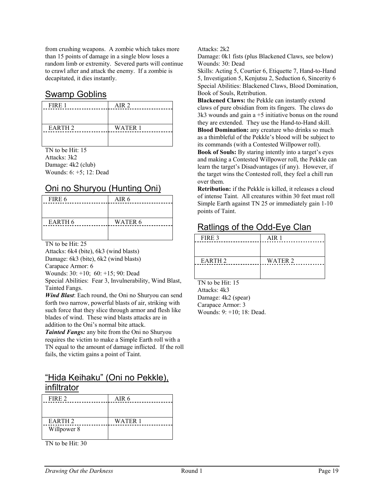from crushing weapons. A zombie which takes more than 15 points of damage in a single blow loses a random limb or extremity. Severed parts will continue to crawl after and attack the enemy. If a zombie is decapitated, it dies instantly.

#### Swamp Goblins

| AIR <sub>2</sub> |
|------------------|
|                  |
|                  |
| <b>WATER 1</b>   |
|                  |
|                  |

TN to be Hit: 15 Attacks: 3k2 Damage: 4k2 (club) Wounds: 6: +5; 12: Dead

#### Oni no Shuryou (Hunting Oni)

| FIRE 6         | AIR 6          |
|----------------|----------------|
|                |                |
|                |                |
| <b>EARTH 6</b> | <b>WATER 6</b> |
|                |                |
|                |                |

TN to be Hit: 25

Attacks: 6k4 (bite), 6k3 (wind blasts) Damage: 6k3 (bite), 6k2 (wind blasts) Carapace Armor: 6

Wounds: 30: +10; 60: +15; 90: Dead

Special Abilities: Fear 3, Invulnerability, Wind Blast, Tainted Fangs.

*Wind Blast*: Each round, the Oni no Shuryou can send forth two narrow, powerful blasts of air, striking with such force that they slice through armor and flesh like blades of wind. These wind blasts attacks are in addition to the Oni's normal bite attack.

*Tainted Fangs:* any bite from the Oni no Shuryou requires the victim to make a Simple Earth roll with a TN equal to the amount of damage inflicted. If the roll fails, the victim gains a point of Taint.

#### "Hida Keihaku" (Oni no Pekkle), infiltrator

| FIRE 2             | AIR 6   |
|--------------------|---------|
|                    |         |
|                    |         |
| EARTH <sub>2</sub> | WATER 1 |
| Willpower 8        |         |
|                    |         |

TN to be Hit: 30

Attacks: 2k2

Damage: 0k1 fists (plus Blackened Claws, see below) Wounds: 30: Dead

Skills: Acting 5, Courtier 6, Etiquette 7, Hand-to-Hand 5, Investigation 5, Kenjutsu 2, Seduction 6, Sincerity 6 Special Abilities: Blackened Claws, Blood Domination, Book of Souls, Retribution.

**Blackened Claws:** the Pekkle can instantly extend claws of pure obsidian from its fingers. The claws do 3k3 wounds and gain a +5 initiative bonus on the round they are extended. They use the Hand-to-Hand skill. **Blood Domination:** any creature who drinks so much as a thimbleful of the Pekkle's blood will be subject to its commands (with a Contested Willpower roll). **Book of Souls:** By staring intently into a target's eyes and making a Contested Willpower roll, the Pekkle can learn the target's Disadvantages (if any). However, if the target wins the Contested roll, they feel a chill run over them.

**Retribution:** if the Pekkle is killed, it releases a cloud of intense Taint. All creatures within 30 feet must roll Simple Earth against TN 25 or immediately gain 1-10 points of Taint.

#### Ratlings of the Odd-Eye Clan

| FIRE 3        | AIR 1          |
|---------------|----------------|
|               |                |
|               |                |
| <b>EARTH2</b> | <b>WATER 2</b> |
|               |                |
|               |                |

TN to be Hit: 15 Attacks: 4k3 Damage: 4k2 (spear) Carapace Armor: 3 Wounds: 9: +10; 18: Dead.